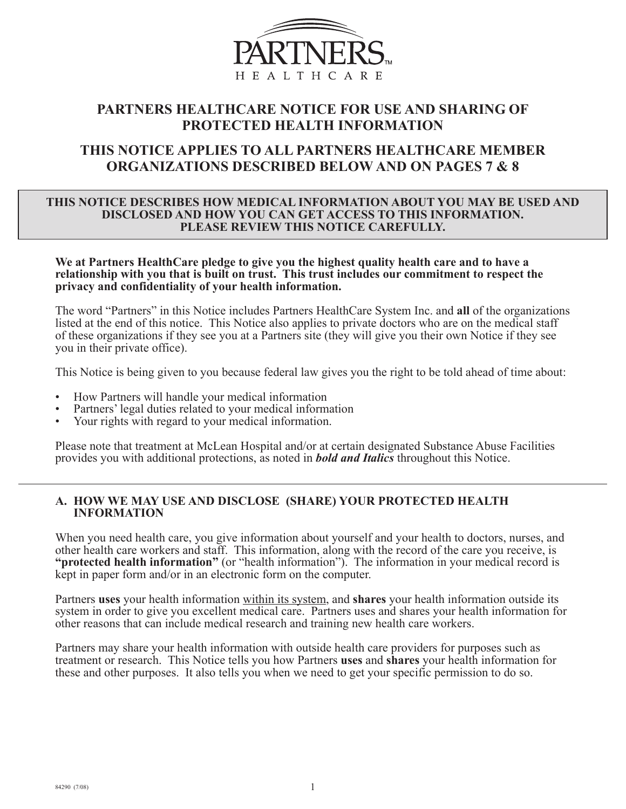

# **PARTNERS HEALTHCARE NOTICE FOR USE AND SHARING OF PROTECTED HEALTH INFORMATION**

# **THIS NOTICE APPLIES TO ALL PARTNERS HEALTHCARE MEMBER ORGANIZATIONS DESCRIBED BELOW AND ON PAGES 7 & 8**

#### **THIS NOTICE DESCRIBES HOW MEDICAL INFORMATION ABOUT YOU MAY BE USED AND DISCLOSED AND HOW YOU CAN GET ACCESS TO THIS INFORMATION. PLEASE REVIEW THIS NOTICE CAREFULLY.**

**We at Partners HealthCare pledge to give you the highest quality health care and to have a relationship with you that is built on trust. This trust includes our commitment to respect the privacy and confidentiality of your health information.**

The word "Partners" in this Notice includes Partners HealthCare System Inc. and **all** of the organizations listed at the end of this notice. This Notice also applies to private doctors who are on the medical staff of these organizations if they see you at a Partners site (they will give you their own Notice if they see you in their private office).

This Notice is being given to you because federal law gives you the right to be told ahead of time about:

- How Partners will handle your medical information
- Partners' legal duties related to your medical information
- Your rights with regard to your medical information.

Please note that treatment at McLean Hospital and/or at certain designated Substance Abuse Facilities provides you with additional protections, as noted in *bold and Italics* throughout this Notice.

#### **A. HOW WE MAY USE AND DISCLOSE (SHARE) YOUR PROTECTED HEALTH INFORMATION**

When you need health care, you give information about yourself and your health to doctors, nurses, and other health care workers and staff. This information, along with the record of the care you receive, is **"protected health information"** (or "health information"). The information in your medical record is kept in paper form and/or in an electronic form on the computer.

Partners **uses** your health information within its system, and **shares** your health information outside its system in order to give you excellent medical care. Partners uses and shares your health information for other reasons that can include medical research and training new health care workers.

Partners may share your health information with outside health care providers for purposes such as treatment or research. This Notice tells you how Partners **uses** and **shares** your health information for these and other purposes. It also tells you when we need to get your specific permission to do so.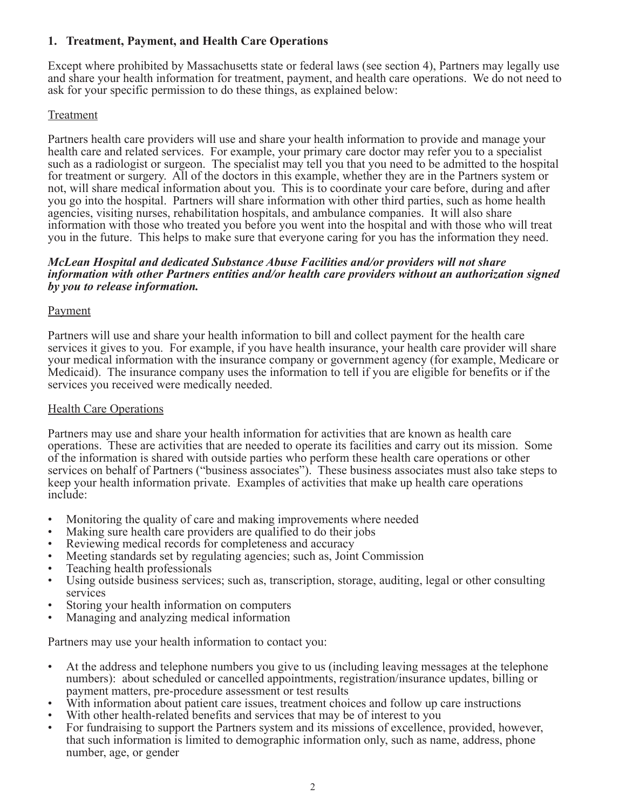## **1. Treatment, Payment, and Health Care Operations**

Except where prohibited by Massachusetts state or federal laws (see section 4), Partners may legally use and share your health information for treatment, payment, and health care operations. We do not need to ask for your specific permission to do these things, as explained below:

## Treatment

Partners health care providers will use and share your health information to provide and manage your health care and related services. For example, your primary care doctor may refer you to a specialist such as a radiologist or surgeon. The specialist may tell you that you need to be admitted to the hospital for treatment or surgery. All of the doctors in this example, whether they are in the Partners system or not, will share medical information about you. This is to coordinate your care before, during and after you go into the hospital. Partners will share information with other third parties, such as home health agencies, visiting nurses, rehabilitation hospitals, and ambulance companies. It will also share information with those who treated you before you went into the hospital and with those who will treat you in the future. This helps to make sure that everyone caring for you has the information they need.

#### *McLean Hospital and dedicated Substance Abuse Facilities and/or providers will not share information with other Partners entities and/or health care providers without an authorization signed by you to release information.*

### Payment

Partners will use and share your health information to bill and collect payment for the health care services it gives to you. For example, if you have health insurance, your health care provider will share your medical information with the insurance company or government agency (for example, Medicare or Medicaid). The insurance company uses the information to tell if you are eligible for benefits or if the services you received were medically needed.

### Health Care Operations

Partners may use and share your health information for activities that are known as health care operations. These are activities that are needed to operate its facilities and carry out its mission. Some of the information is shared with outside parties who perform these health care operations or other services on behalf of Partners ("business associates"). These business associates must also take steps to keep your health information private. Examples of activities that make up health care operations include:

- Monitoring the quality of care and making improvements where needed
- Making sure health care providers are qualified to do their jobs
- Reviewing medical records for completeness and accuracy
- Meeting standards set by regulating agencies; such as, Joint Commission
- Teaching health professionals
- Using outside business services; such as, transcription, storage, auditing, legal or other consulting services
- Storing your health information on computers
- Managing and analyzing medical information

Partners may use your health information to contact you:

- At the address and telephone numbers you give to us (including leaving messages at the telephone numbers): about scheduled or cancelled appointments, registration/insurance updates, billing or payment matters, pre-procedure assessment or test results
- With information about patient care issues, treatment choices and follow up care instructions
- With other health-related benefits and services that may be of interest to you
- For fundraising to support the Partners system and its missions of excellence, provided, however, that such information is limited to demographic information only, such as name, address, phone number, age, or gender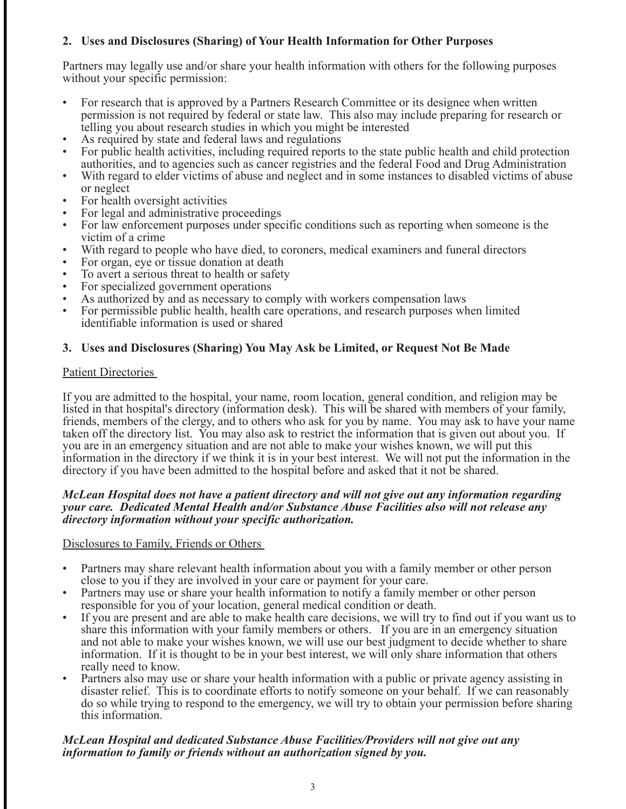## **2. Uses and Disclosures (Sharing) of Your Health Information for Other Purposes**

Partners may legally use and/or share your health information with others for the following purposes without your specific permission:

- For research that is approved by a Partners Research Committee or its designee when written permission is not required by federal or state law. This also may include preparing for research or telling you about research studies in which you might be interested
- As required by state and federal laws and regulations
- For public health activities, including required reports to the state public health and child protection authorities, and to agencies such as cancer registries and the federal Food and Drug Administration
- With regard to elder victims of abuse and neglect and in some instances to disabled victims of abuse or neglect
- For health oversight activities
- For legal and administrative proceedings
- For law enforcement purposes under specific conditions such as reporting when someone is the victim of a crime
- With regard to people who have died, to coroners, medical examiners and funeral directors
- For organ, eye or tissue donation at death
- To avert a serious threat to health or safety<br>• For specialized government operations
- For specialized government operations
- As authorized by and as necessary to comply with workers compensation laws
- For permissible public health, health care operations, and research purposes when limited identifiable information is used or shared

### **3. Uses and Disclosures (Sharing) You May Ask be Limited, or Request Not Be Made**

#### Patient Directories

If you are admitted to the hospital, your name, room location, general condition, and religion may be listed in that hospital's directory (information desk). This will be shared with members of your family, friends, members of the clergy, and to others who ask for you by name. You may ask to have your name taken off the directory list. You may also ask to restrict the information that is given out about you. If you are in an emergency situation and are not able to make your wishes known, we will put this information in the directory if we think it is in your best interest. We will not put the information in the directory if you have been admitted to the hospital before and asked that it not be shared.

#### *McLean Hospital does not have a patient directory and will not give out any information regarding your care. Dedicated Mental Health and/or Substance Abuse Facilities also will not release any directory information without your specific authorization.*

#### Disclosures to Family, Friends or Others

- Partners may share relevant health information about you with a family member or other person close to you if they are involved in your care or payment for your care.
- Partners may use or share your health information to notify a family member or other person responsible for you of your location, general medical condition or death.
- If you are present and are able to make health care decisions, we will try to find out if you want us to share this information with your family members or others. If you are in an emergency situation and not able to make your wishes known, we will use our best judgment to decide whether to share information. If it is thought to be in your best interest, we will only share information that others really need to know.
- Partners also may use or share your health information with a public or private agency assisting in disaster relief. This is to coordinate efforts to notify someone on your behalf. If we can reasonably do so while trying to respond to the emergency, we will try to obtain your permission before sharing this information.

### *McLean Hospital and dedicated Substance Abuse Facilities/Providers will not give out any information to family or friends without an authorization signed by you.*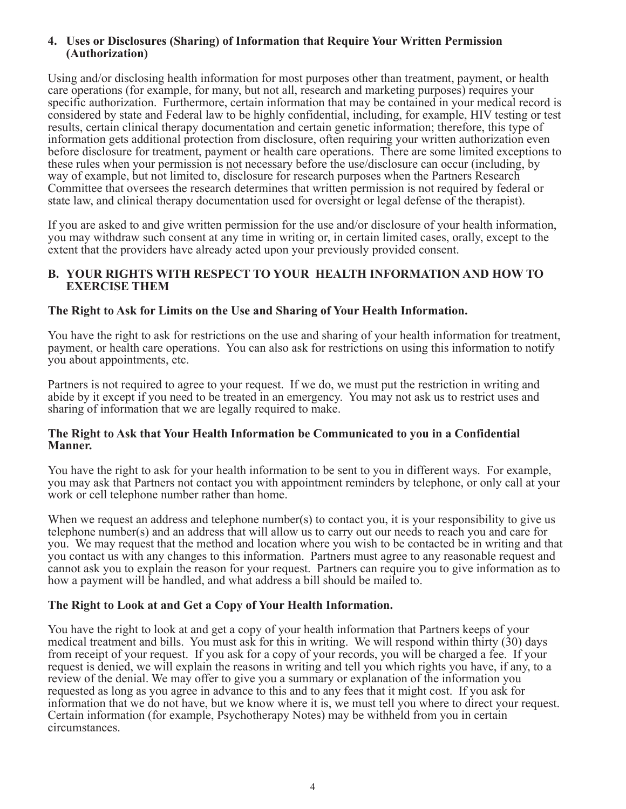#### **4. Uses or Disclosures (Sharing) of Information that Require Your Written Permission (Authorization)**

Using and/or disclosing health information for most purposes other than treatment, payment, or health care operations (for example, for many, but not all, research and marketing purposes) requires your specific authorization. Furthermore, certain information that may be contained in your medical record is considered by state and Federal law to be highly confidential, including, for example, HIV testing or test results, certain clinical therapy documentation and certain genetic information; therefore, this type of information gets additional protection from disclosure, often requiring your written authorization even before disclosure for treatment, payment or health care operations. There are some limited exceptions to these rules when your permission is not necessary before the use/disclosure can occur (including, by way of example, but not limited to, disclosure for research purposes when the Partners Research Committee that oversees the research determines that written permission is not required by federal or state law, and clinical therapy documentation used for oversight or legal defense of the therapist).

If you are asked to and give written permission for the use and/or disclosure of your health information, you may withdraw such consent at any time in writing or, in certain limited cases, orally, except to the extent that the providers have already acted upon your previously provided consent.

#### **B. YOUR RIGHTS WITH RESPECT TO YOUR HEALTH INFORMATION AND HOW TO EXERCISE THEM**

#### **The Right to Ask for Limits on the Use and Sharing of Your Health Information.**

You have the right to ask for restrictions on the use and sharing of your health information for treatment, payment, or health care operations. You can also ask for restrictions on using this information to notify you about appointments, etc.

Partners is not required to agree to your request. If we do, we must put the restriction in writing and abide by it except if you need to be treated in an emergency. You may not ask us to restrict uses and sharing of information that we are legally required to make.

#### **The Right to Ask that Your Health Information be Communicated to you in a Confidential Manner.**

You have the right to ask for your health information to be sent to you in different ways. For example, you may ask that Partners not contact you with appointment reminders by telephone, or only call at your work or cell telephone number rather than home.

When we request an address and telephone number(s) to contact you, it is your responsibility to give us telephone number(s) and an address that will allow us to carry out our needs to reach you and care for you. We may request that the method and location where you wish to be contacted be in writing and that you contact us with any changes to this information. Partners must agree to any reasonable request and cannot ask you to explain the reason for your request. Partners can require you to give information as to how a payment will be handled, and what address a bill should be mailed to.

#### **The Right to Look at and Get a Copy of Your Health Information.**

You have the right to look at and get a copy of your health information that Partners keeps of your medical treatment and bills. You must ask for this in writing. We will respond within thirty (30) days from receipt of your request. If you ask for a copy of your records, you will be charged a fee. If your request is denied, we will explain the reasons in writing and tell you which rights you have, if any, to a review of the denial. We may offer to give you a summary or explanation of the information you requested as long as you agree in advance to this and to any fees that it might cost. If you ask for information that we do not have, but we know where it is, we must tell you where to direct your request. Certain information (for example, Psychotherapy Notes) may be withheld from you in certain circumstances.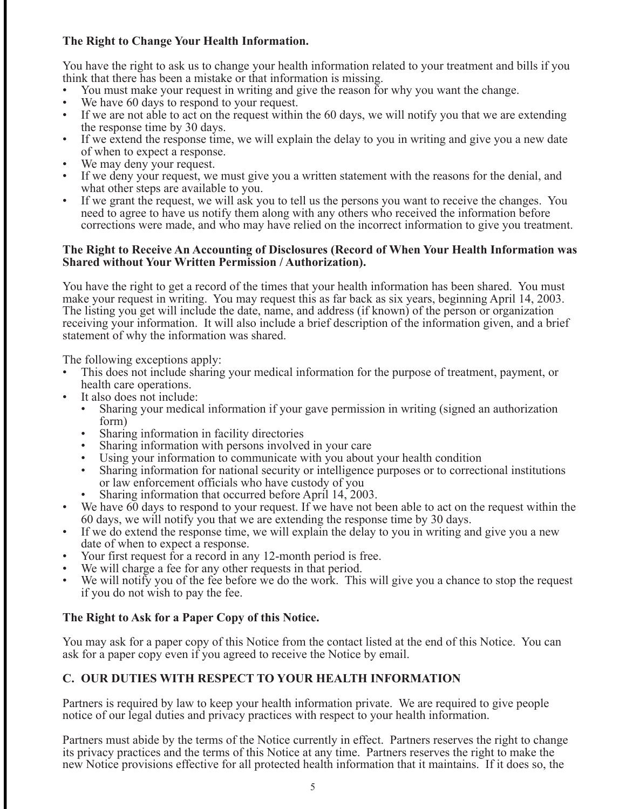## **The Right to Change Your Health Information.**

You have the right to ask us to change your health information related to your treatment and bills if you think that there has been a mistake or that information is missing.

- You must make your request in writing and give the reason for why you want the change.
- We have 60 days to respond to your request.
- If we are not able to act on the request within the 60 days, we will notify you that we are extending the response time by 30 days.
- If we extend the response time, we will explain the delay to you in writing and give you a new date of when to expect a response.
- We may deny your request.
- If we deny your request, we must give you a written statement with the reasons for the denial, and what other steps are available to you.
- If we grant the request, we will ask you to tell us the persons you want to receive the changes. You need to agree to have us notify them along with any others who received the information before corrections were made, and who may have relied on the incorrect information to give you treatment.

#### **The Right to Receive An Accounting of Disclosures (Record of When Your Health Information was Shared without Your Written Permission / Authorization).**

You have the right to get a record of the times that your health information has been shared. You must make your request in writing. You may request this as far back as six years, beginning April 14, 2003. The listing you get will include the date, name, and address (if known) of the person or organization receiving your information. It will also include a brief description of the information given, and a brief statement of why the information was shared.

The following exceptions apply:

- This does not include sharing your medical information for the purpose of treatment, payment, or health care operations.
- It also does not include:
	- Sharing your medical information if your gave permission in writing (signed an authorization form)
	- Sharing information in facility directories
	- Sharing information with persons involved in your care
	- Using your information to communicate with you about your health condition
	- Sharing information for national security or intelligence purposes or to correctional institutions or law enforcement officials who have custody of you
	- Sharing information that occurred before April 14, 2003.
- We have  $\overline{60}$  days to respond to your request. If we have not been able to act on the request within the 60 days, we will notify you that we are extending the response time by 30 days.
- If we do extend the response time, we will explain the delay to you in writing and give you a new date of when to expect a response.
- Your first request for a record in any 12-month period is free.
- We will charge a fee for any other requests in that period.
- We will notify you of the fee before we do the work. This will give you a chance to stop the request if you do not wish to pay the fee.

## **The Right to Ask for a Paper Copy of this Notice.**

You may ask for a paper copy of this Notice from the contact listed at the end of this Notice. You can ask for a paper copy even if you agreed to receive the Notice by email.

## **C. OUR DUTIES WITH RESPECT TO YOUR HEALTH INFORMATION**

Partners is required by law to keep your health information private. We are required to give people notice of our legal duties and privacy practices with respect to your health information.

Partners must abide by the terms of the Notice currently in effect. Partners reserves the right to change its privacy practices and the terms of this Notice at any time. Partners reserves the right to make the new Notice provisions effective for all protected health information that it maintains. If it does so, the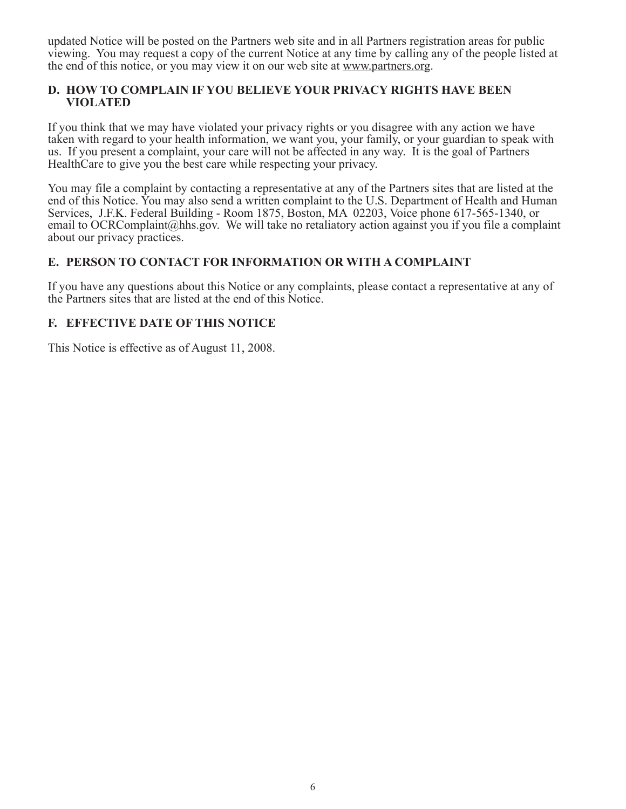updated Notice will be posted on the Partners web site and in all Partners registration areas for public viewing. You may request a copy of the current Notice at any time by calling any of the people listed at the end of this notice, or you may view it on our web site at www.partners.org.

#### **D. HOW TO COMPLAIN IF YOU BELIEVE YOUR PRIVACY RIGHTS HAVE BEEN VIOLATED**

If you think that we may have violated your privacy rights or you disagree with any action we have taken with regard to your health information, we want you, your family, or your guardian to speak with us. If you present a complaint, your care will not be affected in any way. It is the goal of Partners HealthCare to give you the best care while respecting your privacy.

You may file a complaint by contacting a representative at any of the Partners sites that are listed at the end of this Notice. You may also send a written complaint to the U.S. Department of Health and Human Services, J.F.K. Federal Building - Room 1875, Boston, MA 02203, Voice phone 617-565-1340, or email to OCRComplaint@hhs.gov. We will take no retaliatory action against you if you file a complaint about our privacy practices.

### **E. PERSON TO CONTACT FOR INFORMATION OR WITH A COMPLAINT**

If you have any questions about this Notice or any complaints, please contact a representative at any of the Partners sites that are listed at the end of this Notice.

## **F. EFFECTIVE DATE OF THIS NOTICE**

This Notice is effective as of August 11, 2008.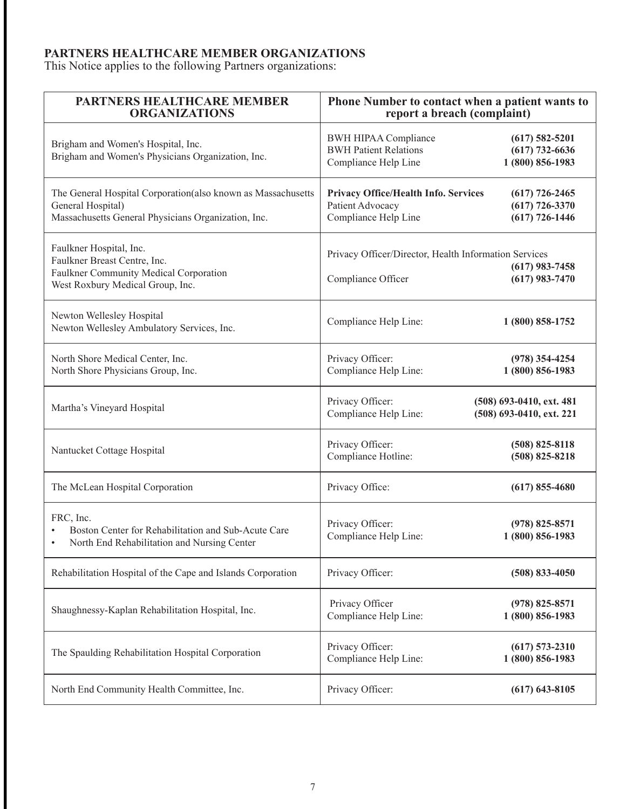### **PARTNERS HEALTHCARE MEMBER ORGANIZATIONS**

This Notice applies to the following Partners organizations:

| <b>PARTNERS HEALTHCARE MEMBER</b><br><b>ORGANIZATIONS</b>                                                                                | Phone Number to contact when a patient wants to<br>report a breach (complaint)      |                                                            |
|------------------------------------------------------------------------------------------------------------------------------------------|-------------------------------------------------------------------------------------|------------------------------------------------------------|
| Brigham and Women's Hospital, Inc.<br>Brigham and Women's Physicians Organization, Inc.                                                  | <b>BWH HIPAA Compliance</b><br><b>BWH Patient Relations</b><br>Compliance Help Line | $(617)$ 582-5201<br>$(617)$ 732-6636<br>1 (800) 856-1983   |
| The General Hospital Corporation(also known as Massachusetts<br>General Hospital)<br>Massachusetts General Physicians Organization, Inc. | Privacy Office/Health Info. Services<br>Patient Advocacy<br>Compliance Help Line    | $(617)$ 726-2465<br>$(617)$ 726-3370<br>$(617) 726 - 1446$ |
| Faulkner Hospital, Inc.<br>Faulkner Breast Centre, Inc.<br>Faulkner Community Medical Corporation<br>West Roxbury Medical Group, Inc.    | Privacy Officer/Director, Health Information Services<br>Compliance Officer         | $(617)$ 983-7458<br>$(617)$ 983-7470                       |
| Newton Wellesley Hospital<br>Newton Wellesley Ambulatory Services, Inc.                                                                  | Compliance Help Line:                                                               | 1 (800) 858-1752                                           |
| North Shore Medical Center, Inc.<br>North Shore Physicians Group, Inc.                                                                   | Privacy Officer:<br>Compliance Help Line:                                           | $(978)$ 354-4254<br>1 (800) 856-1983                       |
| Martha's Vineyard Hospital                                                                                                               | Privacy Officer:<br>Compliance Help Line:                                           | (508) 693-0410, ext. 481<br>(508) 693-0410, ext. 221       |
| Nantucket Cottage Hospital                                                                                                               | Privacy Officer:<br>Compliance Hotline:                                             | $(508)$ 825-8118<br>$(508)$ 825-8218                       |
| The McLean Hospital Corporation                                                                                                          | Privacy Office:                                                                     | $(617)$ 855-4680                                           |
| FRC, Inc.<br>Boston Center for Rehabilitation and Sub-Acute Care<br>North End Rehabilitation and Nursing Center<br>$\bullet$             | Privacy Officer:<br>Compliance Help Line:                                           | $(978)$ 825-8571<br>1 (800) 856-1983                       |
| Rehabilitation Hospital of the Cape and Islands Corporation                                                                              | Privacy Officer:                                                                    | $(508) 833 - 4050$                                         |
| Shaughnessy-Kaplan Rehabilitation Hospital, Inc.                                                                                         | Privacy Officer<br>Compliance Help Line:                                            | $(978)$ 825-8571<br>1 (800) 856-1983                       |
| The Spaulding Rehabilitation Hospital Corporation                                                                                        | Privacy Officer:<br>Compliance Help Line:                                           | $(617)$ 573-2310<br>1 (800) 856-1983                       |
| North End Community Health Committee, Inc.                                                                                               | Privacy Officer:                                                                    | $(617)$ 643-8105                                           |